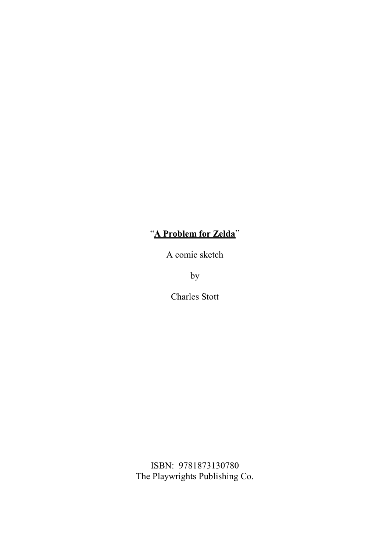## "**A Problem for Zelda**"

A comic sketch

by

Charles Stott

ISBN: 9781873130780 The Playwrights Publishing Co.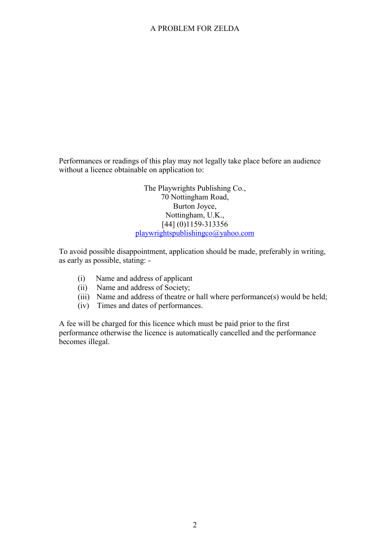## A PROBLEM FOR ZELDA

Performances or readings of this play may not legally take place before an audience without a licence obtainable on application to:

> The Playwrights Publishing Co., 70 Nottingham Road, Burton Joyce, Nottingham, U.K., [44] (0)1159-313356 playwrightspublishingco@yahoo.com

To avoid possible disappointment, application should be made, preferably in writing, as early as possible, stating: -

- (i) Name and address of applicant
- (ii) Name and address of Society;
- (iii) Name and address of theatre or hall where performance(s) would be held;
- (iv) Times and dates of performances.

A fee will be charged for this licence which must be paid prior to the first performance otherwise the licence is automatically cancelled and the performance becomes illegal.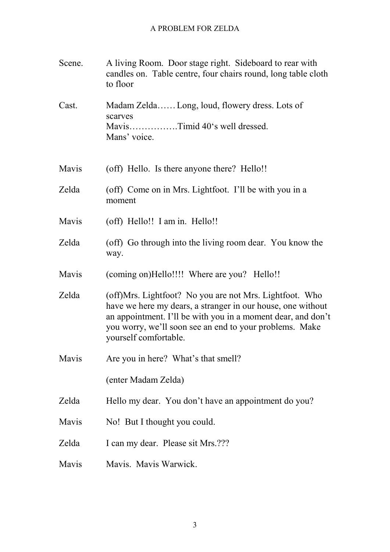| Scene. | A living Room. Door stage right. Sideboard to rear with<br>candles on. Table centre, four chairs round, long table cloth<br>to floor                                                                                                                                       |
|--------|----------------------------------------------------------------------------------------------------------------------------------------------------------------------------------------------------------------------------------------------------------------------------|
| Cast.  | Madam Zelda Long, loud, flowery dress. Lots of<br>scarves<br>MavisTimid 40's well dressed.<br>Mans' voice.                                                                                                                                                                 |
| Mavis  | (off) Hello. Is there anyone there? Hello!!                                                                                                                                                                                                                                |
| Zelda  | (off) Come on in Mrs. Lightfoot. I'll be with you in a<br>moment                                                                                                                                                                                                           |
| Mavis  | (off) Hello!! I am in. Hello!!                                                                                                                                                                                                                                             |
| Zelda  | (off) Go through into the living room dear. You know the<br>way.                                                                                                                                                                                                           |
| Mavis  | (coming on)Hello!!!! Where are you? Hello!!                                                                                                                                                                                                                                |
| Zelda  | (off)Mrs. Lightfoot? No you are not Mrs. Lightfoot. Who<br>have we here my dears, a stranger in our house, one without<br>an appointment. I'll be with you in a moment dear, and don't<br>you worry, we'll soon see an end to your problems. Make<br>yourself comfortable. |
| Mavis  | Are you in here? What's that smell?                                                                                                                                                                                                                                        |
|        | (enter Madam Zelda)                                                                                                                                                                                                                                                        |
| Zelda  | Hello my dear. You don't have an appointment do you?                                                                                                                                                                                                                       |
| Mavis  | No! But I thought you could.                                                                                                                                                                                                                                               |
| Zelda  | I can my dear. Please sit Mrs.???                                                                                                                                                                                                                                          |
| Mavis  | Mavis. Mavis Warwick.                                                                                                                                                                                                                                                      |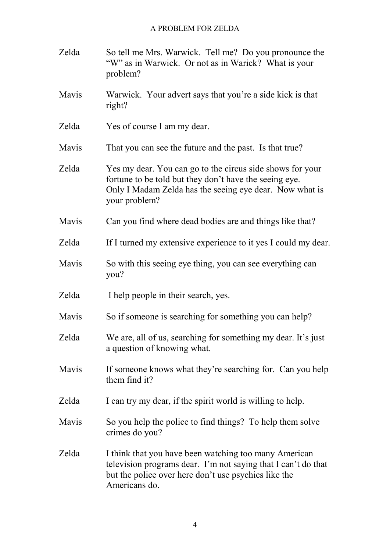## A PROBLEM FOR ZELDA

| Zelda | So tell me Mrs. Warwick. Tell me? Do you pronounce the<br>"W" as in Warwick. Or not as in Warick? What is your<br>problem?                                                                      |
|-------|-------------------------------------------------------------------------------------------------------------------------------------------------------------------------------------------------|
| Mavis | Warwick. Your advert says that you're a side kick is that<br>right?                                                                                                                             |
| Zelda | Yes of course I am my dear.                                                                                                                                                                     |
| Mavis | That you can see the future and the past. Is that true?                                                                                                                                         |
| Zelda | Yes my dear. You can go to the circus side shows for your<br>fortune to be told but they don't have the seeing eye.<br>Only I Madam Zelda has the seeing eye dear. Now what is<br>your problem? |
| Mavis | Can you find where dead bodies are and things like that?                                                                                                                                        |
| Zelda | If I turned my extensive experience to it yes I could my dear.                                                                                                                                  |
| Mavis | So with this seeing eye thing, you can see everything can<br>you?                                                                                                                               |
| Zelda | I help people in their search, yes.                                                                                                                                                             |
| Mavis | So if someone is searching for something you can help?                                                                                                                                          |
| Zelda | We are, all of us, searching for something my dear. It's just<br>a question of knowing what.                                                                                                    |
| Mavis | If someone knows what they're searching for. Can you help<br>them find it?                                                                                                                      |
| Zelda | I can try my dear, if the spirit world is willing to help.                                                                                                                                      |
| Mavis | So you help the police to find things? To help them solve<br>crimes do you?                                                                                                                     |
| Zelda | I think that you have been watching too many American<br>television programs dear. I'm not saying that I can't do that<br>but the police over here don't use psychics like the<br>Americans do. |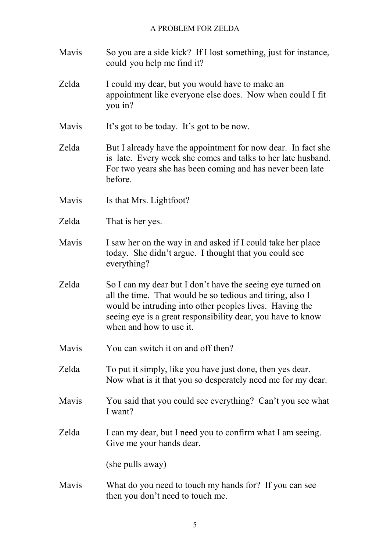| Mavis | So you are a side kick? If I lost something, just for instance,<br>could you help me find it?                                                                                                                                                                                |
|-------|------------------------------------------------------------------------------------------------------------------------------------------------------------------------------------------------------------------------------------------------------------------------------|
| Zelda | I could my dear, but you would have to make an<br>appointment like everyone else does. Now when could I fit<br>you in?                                                                                                                                                       |
| Mavis | It's got to be today. It's got to be now.                                                                                                                                                                                                                                    |
| Zelda | But I already have the appointment for now dear. In fact she<br>is late. Every week she comes and talks to her late husband.<br>For two years she has been coming and has never been late<br>before.                                                                         |
| Mavis | Is that Mrs. Lightfoot?                                                                                                                                                                                                                                                      |
| Zelda | That is her yes.                                                                                                                                                                                                                                                             |
| Mavis | I saw her on the way in and asked if I could take her place<br>today. She didn't argue. I thought that you could see<br>everything?                                                                                                                                          |
| Zelda | So I can my dear but I don't have the seeing eye turned on<br>all the time. That would be so tedious and tiring, also I<br>would be intruding into other peoples lives. Having the<br>seeing eye is a great responsibility dear, you have to know<br>when and how to use it. |
| Mavis | You can switch it on and off then?                                                                                                                                                                                                                                           |
| Zelda | To put it simply, like you have just done, then yes dear.<br>Now what is it that you so desperately need me for my dear.                                                                                                                                                     |
| Mavis | You said that you could see everything? Can't you see what<br>I want?                                                                                                                                                                                                        |
| Zelda | I can my dear, but I need you to confirm what I am seeing.<br>Give me your hands dear.                                                                                                                                                                                       |
|       | (she pulls away)                                                                                                                                                                                                                                                             |
| Mavis | What do you need to touch my hands for? If you can see<br>then you don't need to touch me.                                                                                                                                                                                   |